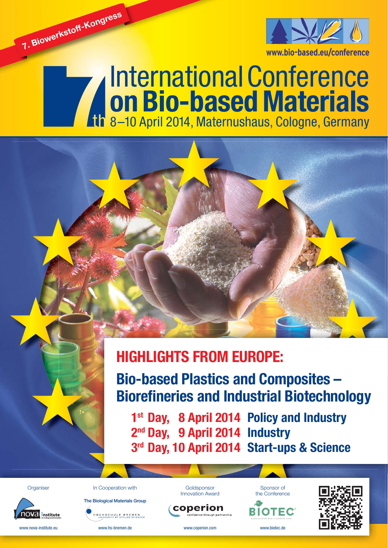

# International Conference **on Bio-based Materials** 8–10 April 2014, Maternushaus, Cologne, Germany



**Bio-based Plastics and Composites – Biorefineries and Industrial Biotechnology** 

**1st Day, 8 April 2014 Policy and Industry 2nd Day, 9 April 2014 Industry 3rd Day, 10 April 2014 Start-ups & Science**

**Organiser** 

**7. Biowerkstoff-Kongress**



www.nova-institute.eu

**The Biological Materials Group CHSCHULE BREMEN**<br>UNIVERSITY OF APPLIED SCIENCES

www.hs-bremen.de

In Cooperation with





www.coperion.com



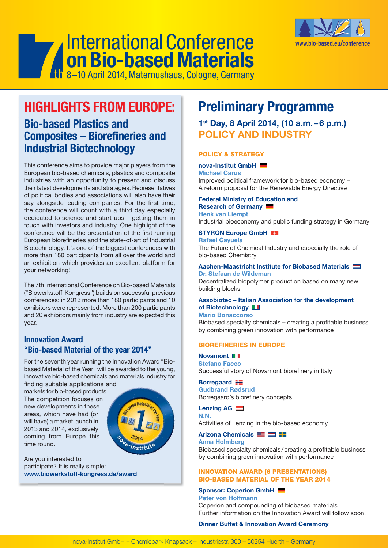

# International Conference **on Bio-based Materials** 8–10 April 2014, Maternushaus, Cologne, Germany

# **HIGHLIGHTS FROM EUROPE:**

# **Bio-based Plastics and Composites – Biorefineries and Industrial Biotechnology**

This conference aims to provide major players from the European bio-based chemicals, plastics and composite industries with an opportunity to present and discuss their latest developments and strategies. Representatives of political bodies and associations will also have their say alongside leading companies. For the first time, the conference will count with a third day especially dedicated to science and start-ups – getting them in touch with investors and industry. One highlight of the conference will be the presentation of the first running European biorefineries and the state-of-art of Industrial Biotechnology. It's one of the biggest conferences with more than 180 participants from all over the world and an exhibition which provides an excellent platform for your networking!

The 7th International Conference on Bio-based Materials ("Biowerkstoff-Kongress") builds on successful previous conferences: in 2013 more than 180 participants and 10 exhibitors were represented. More than 200 participants and 20 exhibitors mainly from industry are expected this year.

# **Innovation Award "Bio-based Material of the year 2014"**

For the seventh year running the Innovation Award "Biobased Material of the Year" will be awarded to the young, innovative bio-based chemicals and materials industry for

finding suitable applications and markets for bio-based products. The competition focuses on new developments in these areas, which have had (or will have) a market launch in 2013 and 2014, exclusively coming from Europe this time round.



Are you interested to participate? It is really simple: **www.biowerkstoff-kongress.de/award**

# **Preliminary Programme**

# **1st Day, 8 April 2014, (10 a.m. – 6 p.m.) POLICY AND INDUSTRY**

# **POLICY & STRATEGY**

**nova-Institut GmbH** 

**Michael Carus** Improved political framework for bio-based economy – A reform proposal for the Renewable Energy Directive

#### **Federal Ministry of Education and Research of Germany Henk van Liempt**

Industrial bioeconomy and public funding strategy in Germany

#### **STYRON Europe GmbH Rafael Cayuela**

The Future of Chemical Industry and especially the role of bio-based Chemistry

#### **Aachen-Maastricht Institute for Biobased Materials Dr. Stefaan de Wildeman**

Decentralized biopolymer production based on many new building blocks

# **Assobiotec – Italian Association for the development of Biotechnology**

**Mario Bonaccorso**

Biobased specialty chemicals - creating a profitable business by combining green innovation with performance

# **BIOREFINERIES IN EUROPE**

**Novamont Stefano Facco** Successful story of Novamont biorefinery in Italy

### **Borregaard**

**Gudbrand Rødsrud** Borregaard's biorefinery concepts

# **Lenzing AG**

**N.N.** Activities of Lenzing in the bio-based economy

# **Arizona Chemicals**

**Anna Holmberg**

Biobased specialty chemicals/creating a profitable business by combining green innovation with performance

# **INNOVATION AWARD (6 PRESENTATIONS) BIO-BASED MATERIAL OF THE YEAR 2014**

#### **Sponsor: Coperion GmbH Peter von Hoffmann**

Coperion and compounding of biobased materials Further information on the Innovation Award will follow soon.

# **Dinner Buffet & Innovation Award Ceremony**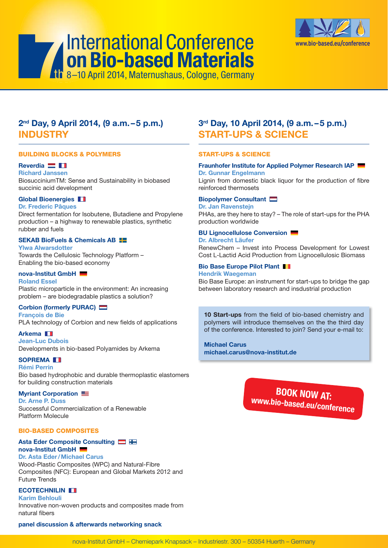

# **2nd Day, 9 April 2014, (9 a.m. – 5 p.m.) INDUSTRY**

8–10 April 2014, Maternushaus, Cologne, Germany

#### **BUILDING BLOCKS & POLYMERS**

### **Reverdia**

**Richard Janssen** BiosucciniumTM: Sense and Sustainability in biobased succinic acid development

# **Global Bioenergies**

### **Dr. Frederic Pâques**

Direct fermentation for Isobutene, Butadiene and Propylene production – a highway to renewable plastics, synthetic rubber and fuels

# **SEKAB BioFuels & Chemicals AB**

**Ylwa Alwarsdotter** Towards the Cellulosic Technology Platform – Enabling the bio-based economy

# **nova-Institut GmbH**

**Roland Essel** Plastic microparticle in the environment: An increasing problem – are biodegradable plastics a solution?

# **Corbion (formerly PURAC)**

**François de Bie** PLA technology of Corbion and new fields of applications

**Arkema Jean-Luc Dubois** Developments in bio-based Polyamides by Arkema

**SOPREMA Rémi Perrin** Bio based hydrophobic and durable thermoplastic elastomers for building construction materials

### **Myriant Corporation**

**Dr. Arne P. Duss** Successful Commercialization of a Renewable Platform Molecule

### **BIO-BASED COMPOSITES**

# **Asta Eder Composite Consulting nova-Institut GmbH**

**Dr. Asta Eder / Michael Carus** Wood-Plastic Composites (WPC) and Natural-Fibre Composites (NFC): European and Global Markets 2012 and Future Trends

# **ECOTECHNILIN**

**Karim Behlouli**

Innovative non-woven products and composites made from natural fibers

### **panel discussion & afterwards networking snack**

# **3rd Day, 10 April 2014, (9 a.m. – 5 p.m.) START-UPS & SCIENCE**

### **START-UPS & SCIENCE**

#### **Fraunhofer Institute for Applied Polymer Research IAP Dr. Gunnar Engelmann**

Lignin from domestic black liquor for the production of fibre reinforced thermosets

### **Biopolymer Consultant**

**Dr. Jan Ravenstejn** PHAs, are they here to stay? – The role of start-ups for the PHA production worldwide

# **BU Lignocellulose Conversion**

**Dr. Albrecht Läufer**

RenewChem – Invest into Process Development for Lowest Cost L-Lactid Acid Production from Lignocellulosic Biomass

#### **Bio Base Europe Pilot Plant Hendrik Waegeman**

Bio Base Europe: an instrument for start-ups to bridge the gap between laboratory research and insdustrial production

10 Start-ups from the field of bio-based chemistry and polymers will introduce themselves on the the third day of the conference. Interested to join? Send your e-mail to:

**Michael Carus michael.carus@nova-institut.de**

> **BOOK NOW AT: www.bio-based.eu/conference**